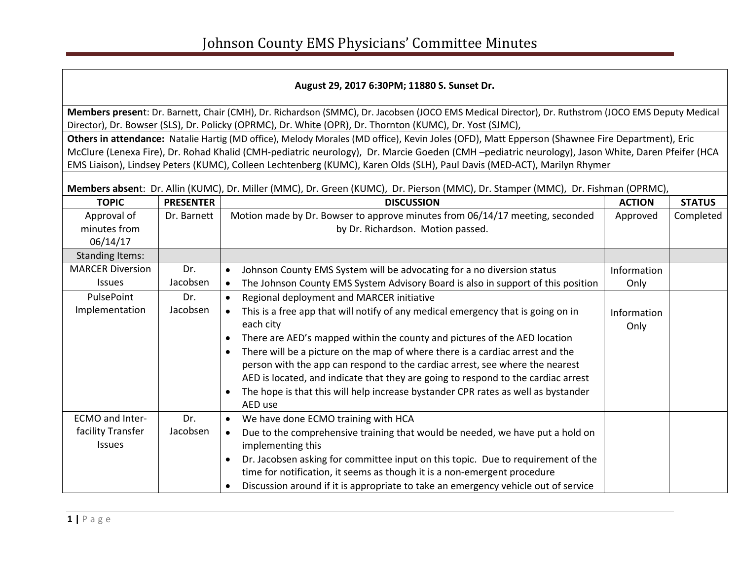### **August 29, 2017 6:30PM; 11880 S. Sunset Dr.**

**Members presen**t: Dr. Barnett, Chair (CMH), Dr. Richardson (SMMC), Dr. Jacobsen (JOCO EMS Medical Director), Dr. Ruthstrom (JOCO EMS Deputy Medical Director), Dr. Bowser (SLS), Dr. Policky (OPRMC), Dr. White (OPR), Dr. Thornton (KUMC), Dr. Yost (SJMC),

**Others in attendance:** Natalie Hartig (MD office), Melody Morales (MD office), Kevin Joles (OFD), Matt Epperson (Shawnee Fire Department), Eric McClure (Lenexa Fire), Dr. Rohad Khalid (CMH-pediatric neurology), Dr. Marcie Goeden (CMH –pediatric neurology), Jason White, Daren Pfeifer (HCA EMS Liaison), Lindsey Peters (KUMC), Colleen Lechtenberg (KUMC), Karen Olds (SLH), Paul Davis (MED-ACT), Marilyn Rhymer

**Members absen**t: Dr. Allin (KUMC), Dr. Miller (MMC), Dr. Green (KUMC), Dr. Pierson (MMC), Dr. Stamper (MMC), Dr. Fishman (OPRMC),

| <b>TOPIC</b>            | <b>PRESENTER</b> | <b>DISCUSSION</b>                                                                               | <b>ACTION</b> | <b>STATUS</b> |
|-------------------------|------------------|-------------------------------------------------------------------------------------------------|---------------|---------------|
| Approval of             | Dr. Barnett      | Motion made by Dr. Bowser to approve minutes from 06/14/17 meeting, seconded                    | Approved      | Completed     |
| minutes from            |                  | by Dr. Richardson. Motion passed.                                                               |               |               |
| 06/14/17                |                  |                                                                                                 |               |               |
| <b>Standing Items:</b>  |                  |                                                                                                 |               |               |
| <b>MARCER Diversion</b> | Dr.              | Johnson County EMS System will be advocating for a no diversion status<br>$\bullet$             | Information   |               |
| <b>Issues</b>           | Jacobsen         | The Johnson County EMS System Advisory Board is also in support of this position<br>$\bullet$   | Only          |               |
| PulsePoint              | Dr.              | Regional deployment and MARCER initiative<br>$\bullet$                                          |               |               |
| Implementation          | Jacobsen         | This is a free app that will notify of any medical emergency that is going on in<br>$\bullet$   | Information   |               |
|                         |                  | each city                                                                                       | Only          |               |
|                         |                  | There are AED's mapped within the county and pictures of the AED location<br>$\bullet$          |               |               |
|                         |                  | There will be a picture on the map of where there is a cardiac arrest and the<br>$\bullet$      |               |               |
|                         |                  | person with the app can respond to the cardiac arrest, see where the nearest                    |               |               |
|                         |                  | AED is located, and indicate that they are going to respond to the cardiac arrest               |               |               |
|                         |                  | The hope is that this will help increase bystander CPR rates as well as bystander<br>$\bullet$  |               |               |
|                         |                  | AED use                                                                                         |               |               |
| <b>ECMO and Inter-</b>  | Dr.              | We have done ECMO training with HCA<br>$\bullet$                                                |               |               |
| facility Transfer       | Jacobsen         | Due to the comprehensive training that would be needed, we have put a hold on<br>$\bullet$      |               |               |
| <b>Issues</b>           |                  | implementing this                                                                               |               |               |
|                         |                  | Dr. Jacobsen asking for committee input on this topic. Due to requirement of the<br>$\bullet$   |               |               |
|                         |                  | time for notification, it seems as though it is a non-emergent procedure                        |               |               |
|                         |                  | Discussion around if it is appropriate to take an emergency vehicle out of service<br>$\bullet$ |               |               |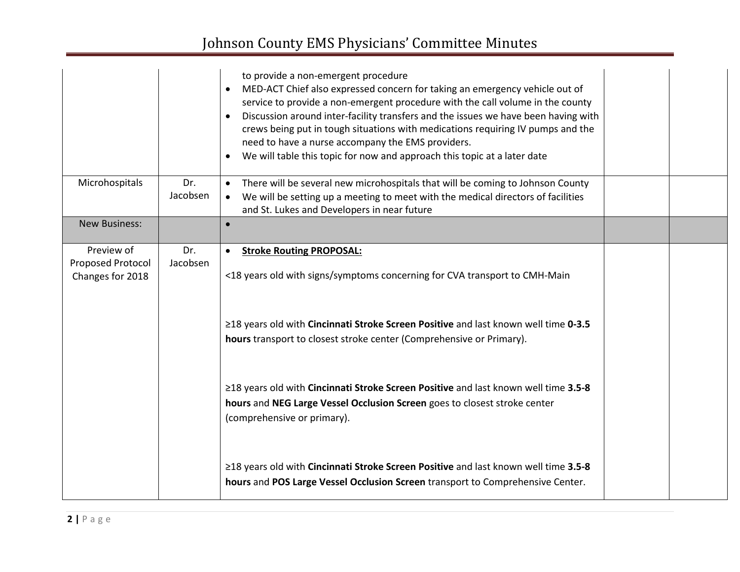# Johnson County EMS Physicians' Committee Minutes

|                                                     |                 | to provide a non-emergent procedure<br>MED-ACT Chief also expressed concern for taking an emergency vehicle out of<br>$\bullet$<br>service to provide a non-emergent procedure with the call volume in the county<br>Discussion around inter-facility transfers and the issues we have been having with<br>crews being put in tough situations with medications requiring IV pumps and the<br>need to have a nurse accompany the EMS providers.<br>We will table this topic for now and approach this topic at a later date<br>$\bullet$ |  |
|-----------------------------------------------------|-----------------|------------------------------------------------------------------------------------------------------------------------------------------------------------------------------------------------------------------------------------------------------------------------------------------------------------------------------------------------------------------------------------------------------------------------------------------------------------------------------------------------------------------------------------------|--|
| Microhospitals                                      | Dr.<br>Jacobsen | There will be several new microhospitals that will be coming to Johnson County<br>$\bullet$<br>We will be setting up a meeting to meet with the medical directors of facilities<br>$\bullet$<br>and St. Lukes and Developers in near future                                                                                                                                                                                                                                                                                              |  |
| <b>New Business:</b>                                |                 | $\bullet$                                                                                                                                                                                                                                                                                                                                                                                                                                                                                                                                |  |
| Preview of<br>Proposed Protocol<br>Changes for 2018 | Dr.<br>Jacobsen | <b>Stroke Routing PROPOSAL:</b><br>$\bullet$<br><18 years old with signs/symptoms concerning for CVA transport to CMH-Main                                                                                                                                                                                                                                                                                                                                                                                                               |  |
|                                                     |                 | ≥18 years old with Cincinnati Stroke Screen Positive and last known well time 0-3.5<br>hours transport to closest stroke center (Comprehensive or Primary).                                                                                                                                                                                                                                                                                                                                                                              |  |
|                                                     |                 | ≥18 years old with Cincinnati Stroke Screen Positive and last known well time 3.5-8<br>hours and NEG Large Vessel Occlusion Screen goes to closest stroke center<br>(comprehensive or primary).                                                                                                                                                                                                                                                                                                                                          |  |
|                                                     |                 | ≥18 years old with Cincinnati Stroke Screen Positive and last known well time 3.5-8<br>hours and POS Large Vessel Occlusion Screen transport to Comprehensive Center.                                                                                                                                                                                                                                                                                                                                                                    |  |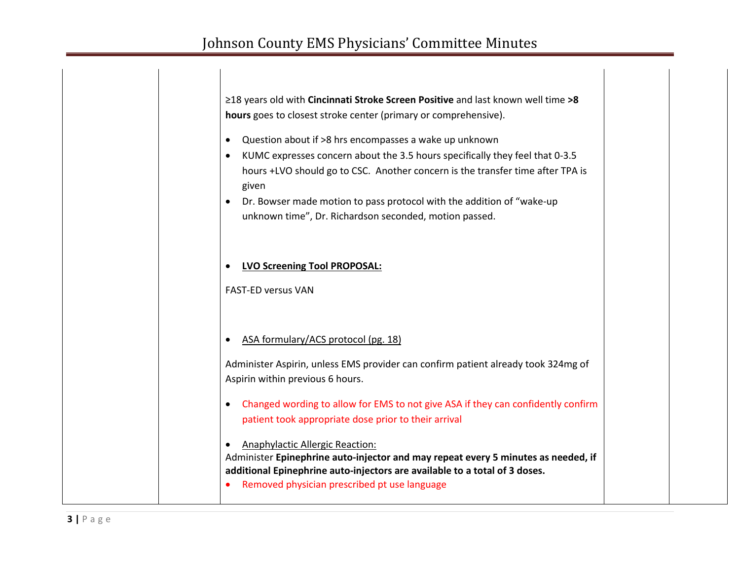$\overline{\phantom{a}}$ 

| ≥18 years old with Cincinnati Stroke Screen Positive and last known well time >8<br>hours goes to closest stroke center (primary or comprehensive).                                                                                                                                                                                                                                                         |
|-------------------------------------------------------------------------------------------------------------------------------------------------------------------------------------------------------------------------------------------------------------------------------------------------------------------------------------------------------------------------------------------------------------|
| Question about if >8 hrs encompasses a wake up unknown<br>$\bullet$<br>KUMC expresses concern about the 3.5 hours specifically they feel that 0-3.5<br>$\bullet$<br>hours +LVO should go to CSC. Another concern is the transfer time after TPA is<br>given<br>Dr. Bowser made motion to pass protocol with the addition of "wake-up<br>$\bullet$<br>unknown time", Dr. Richardson seconded, motion passed. |
| <b>LVO Screening Tool PROPOSAL:</b><br><b>FAST-ED versus VAN</b>                                                                                                                                                                                                                                                                                                                                            |
| ASA formulary/ACS protocol (pg. 18)<br>$\bullet$<br>Administer Aspirin, unless EMS provider can confirm patient already took 324mg of<br>Aspirin within previous 6 hours.                                                                                                                                                                                                                                   |
| Changed wording to allow for EMS to not give ASA if they can confidently confirm<br>$\bullet$<br>patient took appropriate dose prior to their arrival                                                                                                                                                                                                                                                       |
| <b>Anaphylactic Allergic Reaction:</b><br>Administer Epinephrine auto-injector and may repeat every 5 minutes as needed, if<br>additional Epinephrine auto-injectors are available to a total of 3 doses.<br>Removed physician prescribed pt use language                                                                                                                                                   |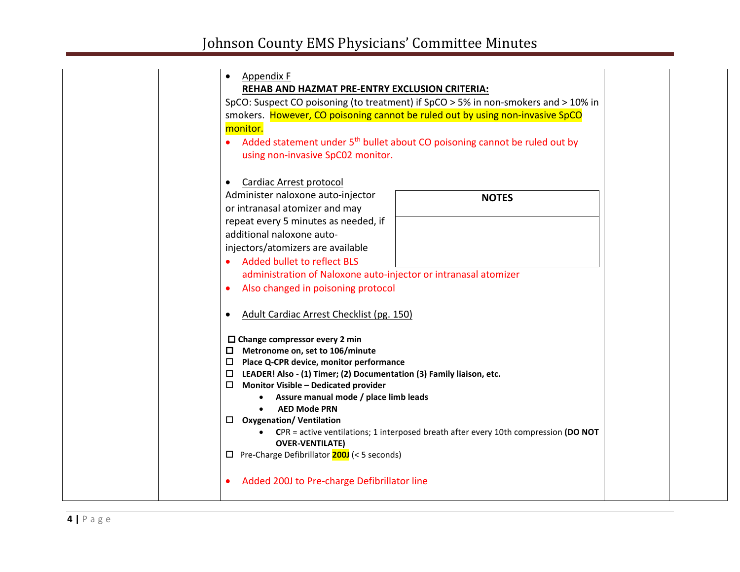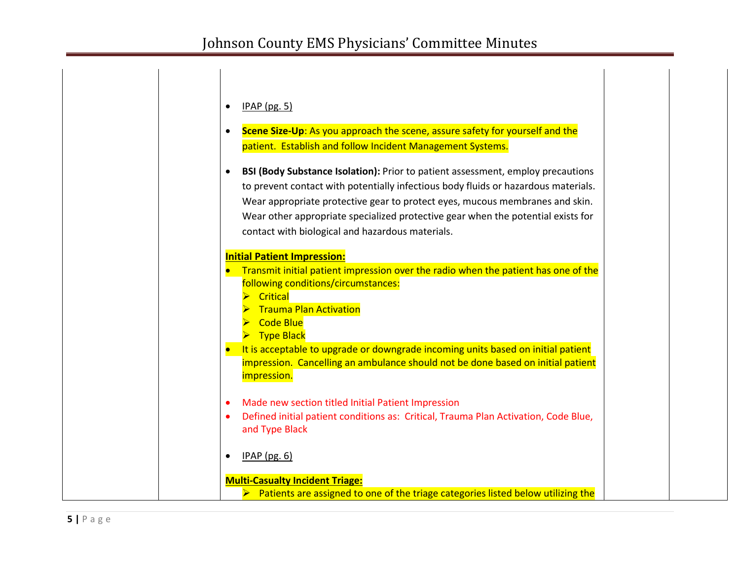| $IPAP$ (pg. 5)                                                                                    |
|---------------------------------------------------------------------------------------------------|
| Scene Size-Up: As you approach the scene, assure safety for yourself and the<br>٠                 |
| patient. Establish and follow Incident Management Systems.                                        |
| BSI (Body Substance Isolation): Prior to patient assessment, employ precautions                   |
| to prevent contact with potentially infectious body fluids or hazardous materials.                |
| Wear appropriate protective gear to protect eyes, mucous membranes and skin.                      |
| Wear other appropriate specialized protective gear when the potential exists for                  |
| contact with biological and hazardous materials.                                                  |
|                                                                                                   |
| <b>Initial Patient Impression:</b>                                                                |
| Transmit initial patient impression over the radio when the patient has one of the                |
| following conditions/circumstances:                                                               |
| Critical                                                                                          |
| Trauma Plan Activation                                                                            |
| $\triangleright$ Code Blue                                                                        |
| $\triangleright$ Type Black                                                                       |
| It is acceptable to upgrade or downgrade incoming units based on initial patient                  |
| impression. Cancelling an ambulance should not be done based on initial patient                   |
| <i>impression.</i>                                                                                |
| Made new section titled Initial Patient Impression                                                |
| Defined initial patient conditions as: Critical, Trauma Plan Activation, Code Blue,               |
| and Type Black                                                                                    |
|                                                                                                   |
| $IPAP$ (pg. 6)                                                                                    |
|                                                                                                   |
| <b>Multi-Casualty Incident Triage:</b>                                                            |
| $\triangleright$ Patients are assigned to one of the triage categories listed below utilizing the |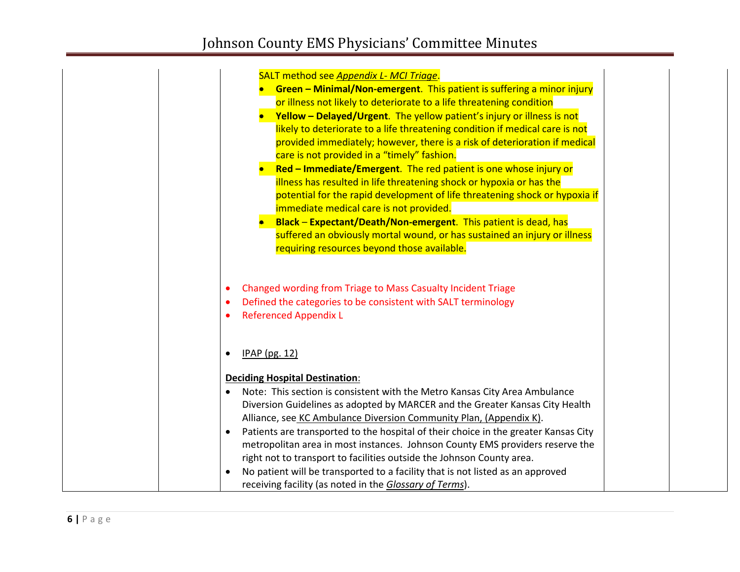| SALT method see Appendix L- MCI Triage.                                                                                                                                                              |
|------------------------------------------------------------------------------------------------------------------------------------------------------------------------------------------------------|
| <b>Green - Minimal/Non-emergent.</b> This patient is suffering a minor injury                                                                                                                        |
| or illness not likely to deteriorate to a life threatening condition                                                                                                                                 |
| Yellow - Delayed/Urgent. The yellow patient's injury or illness is not                                                                                                                               |
| likely to deteriorate to a life threatening condition if medical care is not                                                                                                                         |
| provided immediately; however, there is a risk of deterioration if medical                                                                                                                           |
| care is not provided in a "timely" fashion.                                                                                                                                                          |
| Red - Immediate/Emergent. The red patient is one whose injury or<br>$\bullet$                                                                                                                        |
| illness has resulted in life threatening shock or hypoxia or has the                                                                                                                                 |
| potential for the rapid development of life threatening shock or hypoxia if                                                                                                                          |
| immediate medical care is not provided.                                                                                                                                                              |
| • Black - Expectant/Death/Non-emergent. This patient is dead, has                                                                                                                                    |
| suffered an obviously mortal wound, or has sustained an injury or illness                                                                                                                            |
| requiring resources beyond those available.                                                                                                                                                          |
| Changed wording from Triage to Mass Casualty Incident Triage<br>$\bullet$<br>Defined the categories to be consistent with SALT terminology<br>$\bullet$<br><b>Referenced Appendix L</b><br>$\bullet$ |
| IPAP (pg. 12)<br>$\bullet$                                                                                                                                                                           |
| <b>Deciding Hospital Destination:</b>                                                                                                                                                                |
| Note: This section is consistent with the Metro Kansas City Area Ambulance<br>٠                                                                                                                      |
| Diversion Guidelines as adopted by MARCER and the Greater Kansas City Health                                                                                                                         |
| Alliance, see KC Ambulance Diversion Community Plan, (Appendix K).                                                                                                                                   |
| Patients are transported to the hospital of their choice in the greater Kansas City<br>$\bullet$                                                                                                     |
| metropolitan area in most instances. Johnson County EMS providers reserve the                                                                                                                        |
| right not to transport to facilities outside the Johnson County area.                                                                                                                                |
| No patient will be transported to a facility that is not listed as an approved                                                                                                                       |
| receiving facility (as noted in the Glossary of Terms).                                                                                                                                              |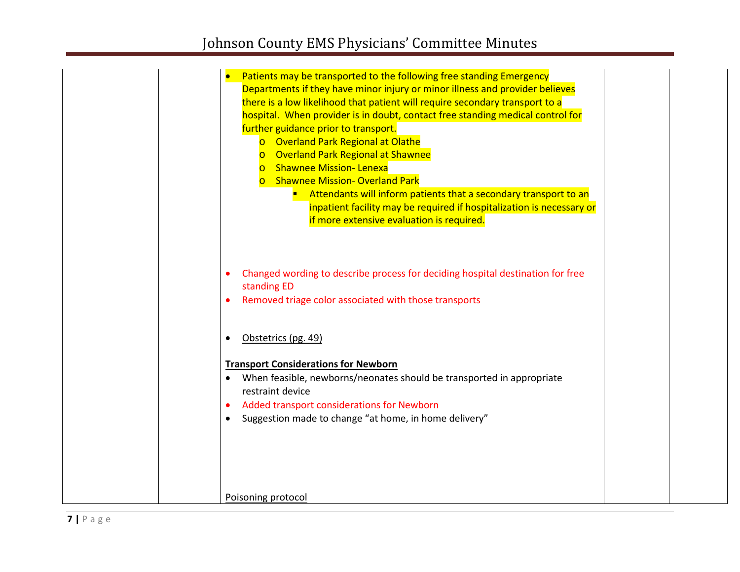| Patients may be transported to the following free standing Emergency<br>Departments if they have minor injury or minor illness and provider believes<br>there is a low likelihood that patient will require secondary transport to a<br>hospital. When provider is in doubt, contact free standing medical control for<br>further guidance prior to transport.<br>o Overland Park Regional at Olathe<br>o Overland Park Regional at Shawnee<br><b>o</b> Shawnee Mission- Lenexa<br><b>o</b> Shawnee Mission-Overland Park<br>Attendants will inform patients that a secondary transport to an<br>inpatient facility may be required if hospitalization is necessary or<br>if more extensive evaluation is required. |  |
|---------------------------------------------------------------------------------------------------------------------------------------------------------------------------------------------------------------------------------------------------------------------------------------------------------------------------------------------------------------------------------------------------------------------------------------------------------------------------------------------------------------------------------------------------------------------------------------------------------------------------------------------------------------------------------------------------------------------|--|
| Changed wording to describe process for deciding hospital destination for free                                                                                                                                                                                                                                                                                                                                                                                                                                                                                                                                                                                                                                      |  |
| standing ED<br>Removed triage color associated with those transports                                                                                                                                                                                                                                                                                                                                                                                                                                                                                                                                                                                                                                                |  |
|                                                                                                                                                                                                                                                                                                                                                                                                                                                                                                                                                                                                                                                                                                                     |  |
| Obstetrics (pg. 49)                                                                                                                                                                                                                                                                                                                                                                                                                                                                                                                                                                                                                                                                                                 |  |
| <b>Transport Considerations for Newborn</b>                                                                                                                                                                                                                                                                                                                                                                                                                                                                                                                                                                                                                                                                         |  |
| When feasible, newborns/neonates should be transported in appropriate<br>$\bullet$                                                                                                                                                                                                                                                                                                                                                                                                                                                                                                                                                                                                                                  |  |
| restraint device                                                                                                                                                                                                                                                                                                                                                                                                                                                                                                                                                                                                                                                                                                    |  |
| Added transport considerations for Newborn<br>Suggestion made to change "at home, in home delivery"                                                                                                                                                                                                                                                                                                                                                                                                                                                                                                                                                                                                                 |  |
|                                                                                                                                                                                                                                                                                                                                                                                                                                                                                                                                                                                                                                                                                                                     |  |
| Poisoning protocol                                                                                                                                                                                                                                                                                                                                                                                                                                                                                                                                                                                                                                                                                                  |  |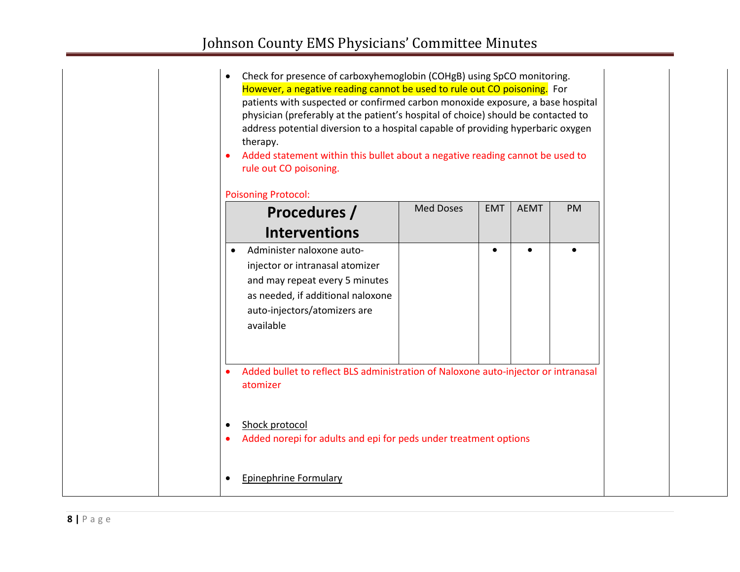|  | Check for presence of carboxyhemoglobin (COHgB) using SpCO monitoring.<br>However, a negative reading cannot be used to rule out CO poisoning. For<br>patients with suspected or confirmed carbon monoxide exposure, a base hospital<br>physician (preferably at the patient's hospital of choice) should be contacted to<br>address potential diversion to a hospital capable of providing hyperbaric oxygen<br>therapy.<br>Added statement within this bullet about a negative reading cannot be used to<br>$\bullet$<br>rule out CO poisoning.<br><b>Poisoning Protocol:</b> |                  |            |             |    |  |
|--|---------------------------------------------------------------------------------------------------------------------------------------------------------------------------------------------------------------------------------------------------------------------------------------------------------------------------------------------------------------------------------------------------------------------------------------------------------------------------------------------------------------------------------------------------------------------------------|------------------|------------|-------------|----|--|
|  | Procedures /                                                                                                                                                                                                                                                                                                                                                                                                                                                                                                                                                                    | <b>Med Doses</b> | <b>EMT</b> | <b>AEMT</b> | PM |  |
|  | <b>Interventions</b>                                                                                                                                                                                                                                                                                                                                                                                                                                                                                                                                                            |                  |            |             |    |  |
|  | Administer naloxone auto-<br>$\bullet$<br>injector or intranasal atomizer<br>and may repeat every 5 minutes<br>as needed, if additional naloxone<br>auto-injectors/atomizers are<br>available                                                                                                                                                                                                                                                                                                                                                                                   |                  |            |             |    |  |
|  | Added bullet to reflect BLS administration of Naloxone auto-injector or intranasal<br>$\bullet$<br>atomizer                                                                                                                                                                                                                                                                                                                                                                                                                                                                     |                  |            |             |    |  |
|  | Shock protocol<br>$\bullet$<br>Added norepi for adults and epi for peds under treatment options<br>$\bullet$                                                                                                                                                                                                                                                                                                                                                                                                                                                                    |                  |            |             |    |  |
|  | Epinephrine Formulary                                                                                                                                                                                                                                                                                                                                                                                                                                                                                                                                                           |                  |            |             |    |  |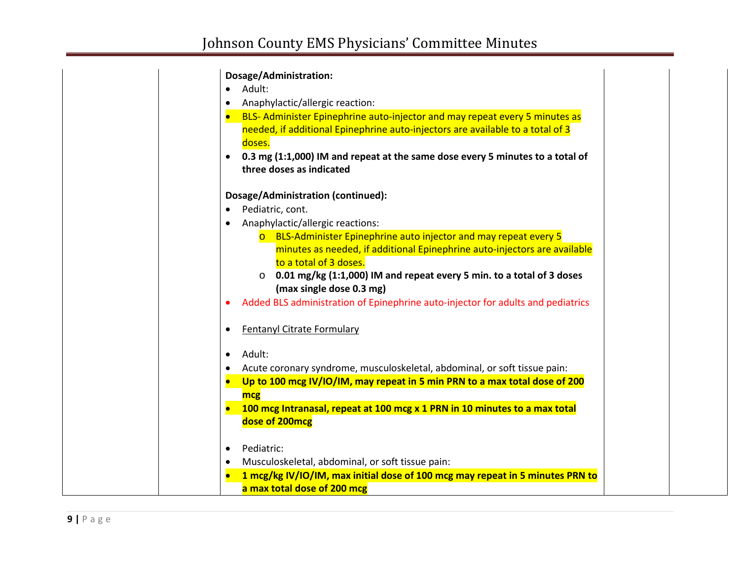### **Dosage/Administration:**

• Adult:

- Anaphylactic/allergic reaction:
- BLS- Administer Epinephrine auto-injector and may repeat every 5 minutes as needed, if additional Epinephrine auto-injectors are available to a total of 3 doses.
- **0.3 mg (1:1,000) IM and repeat at the same dose every 5 minutes to a total of three doses as indicated**

### **Dosage/Administration (continued):**

- Pediatric, cont.
- Anaphylactic/allergic reactions:
	- o BLS-Administer Epinephrine auto injector and may repeat every 5 minutes as needed, if additional Epinephrine auto-injectors are available to a total of 3 doses.
	- o **0.01 mg/kg (1:1,000) IM and repeat every 5 min. to a total of 3 doses (max single dose 0.3 mg)**
- Added BLS administration of Epinephrine auto-injector for adults and pediatrics
- Fentanyl Citrate Formulary
- Adult:
- Acute coronary syndrome, musculoskeletal, abdominal, or soft tissue pain:
- **Up to 100 mcg IV/IO/IM, may repeat in 5 min PRN to a max total dose of 200 mcg**
- **100 mcg Intranasal, repeat at 100 mcg x 1 PRN in 10 minutes to a max total dose of 200mcg**
- Pediatric:
- Musculoskeletal, abdominal, or soft tissue pain:
- **1 mcg/kg IV/IO/IM, max initial dose of 100 mcg may repeat in 5 minutes PRN to a max total dose of 200 mcg**

**9 |** Page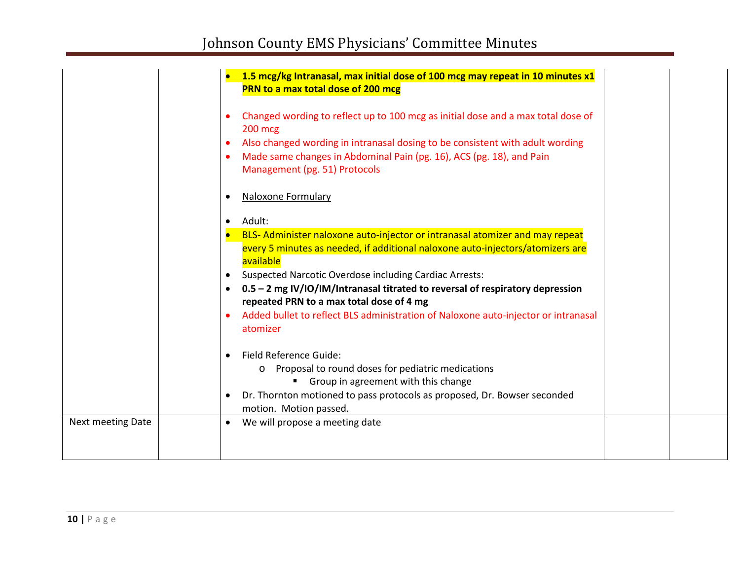|                          | 1.5 mcg/kg Intranasal, max initial dose of 100 mcg may repeat in 10 minutes x1<br>PRN to a max total dose of 200 mcg                   |
|--------------------------|----------------------------------------------------------------------------------------------------------------------------------------|
|                          | Changed wording to reflect up to 100 mcg as initial dose and a max total dose of<br>$\bullet$<br>$200$ mcg                             |
|                          | Also changed wording in intranasal dosing to be consistent with adult wording<br>$\bullet$                                             |
|                          | Made same changes in Abdominal Pain (pg. 16), ACS (pg. 18), and Pain                                                                   |
|                          | Management (pg. 51) Protocols                                                                                                          |
|                          | <b>Naloxone Formulary</b><br>$\bullet$                                                                                                 |
|                          | Adult:<br>$\bullet$                                                                                                                    |
|                          | BLS- Administer naloxone auto-injector or intranasal atomizer and may repeat                                                           |
|                          | every 5 minutes as needed, if additional naloxone auto-injectors/atomizers are                                                         |
|                          | available                                                                                                                              |
|                          | <b>Suspected Narcotic Overdose including Cardiac Arrests:</b><br>$\bullet$                                                             |
|                          | 0.5 - 2 mg IV/IO/IM/Intranasal titrated to reversal of respiratory depression<br>$\bullet$<br>repeated PRN to a max total dose of 4 mg |
|                          | Added bullet to reflect BLS administration of Naloxone auto-injector or intranasal<br>$\bullet$                                        |
|                          | atomizer                                                                                                                               |
|                          | Field Reference Guide:<br>$\bullet$                                                                                                    |
|                          | Proposal to round doses for pediatric medications<br>$\circ$                                                                           |
|                          | Group in agreement with this change                                                                                                    |
|                          | Dr. Thornton motioned to pass protocols as proposed, Dr. Bowser seconded                                                               |
|                          | motion. Motion passed.                                                                                                                 |
| <b>Next meeting Date</b> | We will propose a meeting date<br>$\bullet$                                                                                            |
|                          |                                                                                                                                        |
|                          |                                                                                                                                        |
|                          |                                                                                                                                        |